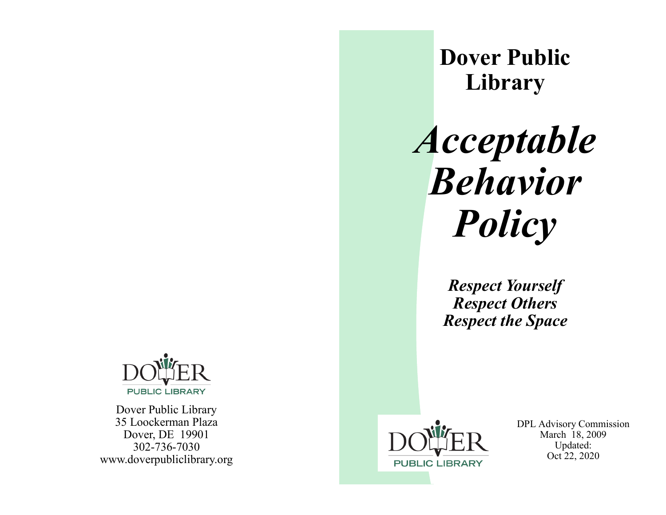

Dover Public Library 35 Loockerman Plaza Dover, DE 19901 302-736-7030 www.doverpubliclibrary.org



DPL Advisory Commission March 18, 2009 Updated: Oct 22, 2020

**Dover Public Library**

*Acceptable Behavior Policy*

> *Respect Yourself Respect Others Respect the Space*